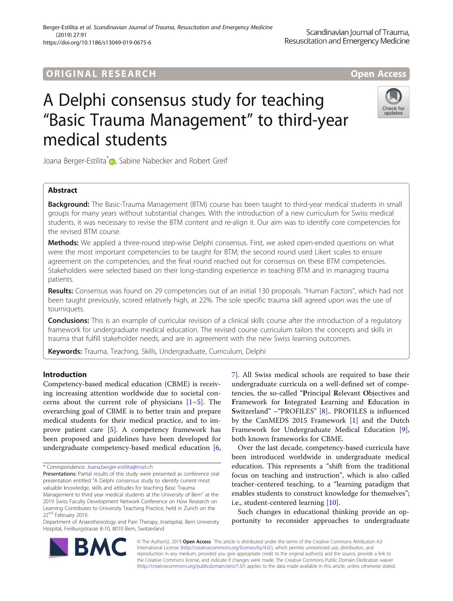# **ORIGINAL RESEARCH AND LOCAL CONSUMING A LOCAL CONSUMING A LOCAL CONSUMING A LOCAL CONSUMING A LOCAL CONSUMING**

# A Delphi consensus study for teaching "Basic Trauma Management" to third-year medical students



Joana Berger-Estilita<sup>\*</sup><sup>D</sup>[,](http://orcid.org/0000-0002-8695-4264) Sabine Nabecker and Robert Greif

# Abstract

**Background:** The Basic-Trauma Management (BTM) course has been taught to third-year medical students in small groups for many years without substantial changes. With the introduction of a new curriculum for Swiss medical students, it was necessary to revise the BTM content and re-align it. Our aim was to identify core competencies for the revised BTM course.

Methods: We applied a three-round step-wise Delphi consensus. First, we asked open-ended questions on what were the most important competencies to be taught for BTM; the second round used Likert scales to ensure agreement on the competencies; and the final round reached out for consensus on these BTM competencies. Stakeholders were selected based on their long-standing experience in teaching BTM and in managing trauma patients.

Results: Consensus was found on 29 competencies out of an initial 130 proposals. "Human Factors", which had not been taught previously, scored relatively high, at 22%. The sole specific trauma skill agreed upon was the use of tourniquets.

**Conclusions:** This is an example of curricular revision of a clinical skills course after the introduction of a regulatory framework for undergraduate medical education. The revised course curriculum tailors the concepts and skills in trauma that fulfill stakeholder needs, and are in agreement with the new Swiss learning outcomes.

Keywords: Trauma, Teaching, Skills, Undergraduate, Curriculum, Delphi

# Introduction

Competency-based medical education (CBME) is receiving increasing attention worldwide due to societal concerns about the current role of physicians  $[1-5]$  $[1-5]$  $[1-5]$ . The overarching goal of CBME is to better train and prepare medical students for their medical practice, and to improve patient care [[5](#page-9-0)]. A competency framework has been proposed and guidelines have been developed for undergraduate competency-based medical education [\[6](#page-9-0),

Presentations: Partial results of this study were presented as conference oral presentation entitled "A Delphi consensus study to identify current most valuable knowledge, skills and attitudes for teaching Basic Trauma

Department of Anaesthesiology and Pain Therapy, Inselspital, Bern University Hospital, Freiburgstrasse 8-10, 8010 Bern, Switzerland

[7\]](#page-9-0). All Swiss medical schools are required to base their undergraduate curricula on a well-defined set of competencies, the so-called "Principal Relevant Objectives and Framework for Integrated Learning and Education in Switzerland" –"PROFILES" [\[8](#page-9-0)].. PROFILES is influenced by the CanMEDS 2015 Framework [\[1\]](#page-9-0) and the Dutch Framework for Undergraduate Medical Education [\[9](#page-9-0)], both known frameworks for CBME.

Over the last decade, competency-based curricula have been introduced worldwide in undergraduate medical education. This represents a "shift from the traditional focus on teaching and instruction", which is also called teacher-centered teaching, to a "learning paradigm that enables students to construct knowledge for themselves"; i.e., student-centered learning [\[10](#page-9-0)].

Such changes in educational thinking provide an opportunity to reconsider approaches to undergraduate



© The Author(s). 2019 Open Access This article is distributed under the terms of the Creative Commons Attribution 4.0 International License [\(http://creativecommons.org/licenses/by/4.0/](http://creativecommons.org/licenses/by/4.0/)), which permits unrestricted use, distribution, and reproduction in any medium, provided you give appropriate credit to the original author(s) and the source, provide a link to the Creative Commons license, and indicate if changes were made. The Creative Commons Public Domain Dedication waiver [\(http://creativecommons.org/publicdomain/zero/1.0/](http://creativecommons.org/publicdomain/zero/1.0/)) applies to the data made available in this article, unless otherwise stated.

<sup>\*</sup> Correspondence: [Joana.berger-estilita@insel.ch](mailto:Joana.berger-estilita@insel.ch)

Management to third year medical students at the University of Bern" at the 2019 Swiss Faculty Development Network Conference on How Research on Learning Contributes to University Teaching Practice, held in Zurich on the 22<sup>nd</sup> February 2019.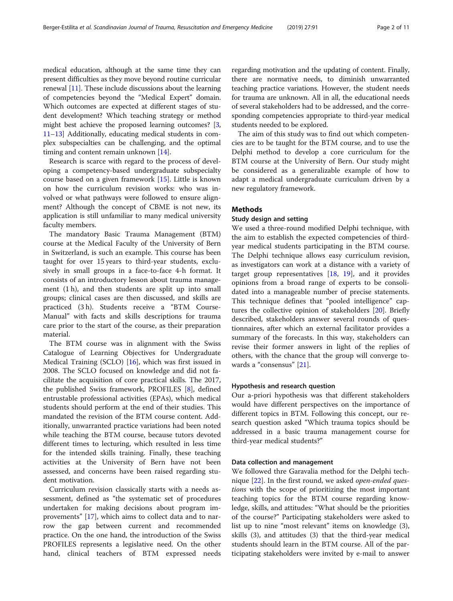medical education, although at the same time they can present difficulties as they move beyond routine curricular renewal [[11](#page-9-0)]. These include discussions about the learning of competencies beyond the "Medical Expert" domain. Which outcomes are expected at different stages of student development? Which teaching strategy or method might best achieve the proposed learning outcomes? [[3](#page-9-0), [11](#page-9-0)–[13\]](#page-9-0) Additionally, educating medical students in complex subspecialties can be challenging, and the optimal timing and content remain unknown [\[14\]](#page-9-0).

Research is scarce with regard to the process of developing a competency-based undergraduate subspecialty course based on a given framework [[15\]](#page-9-0). Little is known on how the curriculum revision works: who was involved or what pathways were followed to ensure alignment? Although the concept of CBME is not new, its application is still unfamiliar to many medical university faculty members.

The mandatory Basic Trauma Management (BTM) course at the Medical Faculty of the University of Bern in Switzerland, is such an example. This course has been taught for over 15 years to third-year students, exclusively in small groups in a face-to-face 4-h format. It consists of an introductory lesson about trauma management (1 h), and then students are split up into small groups; clinical cases are then discussed, and skills are practiced (3 h). Students receive a "BTM Course-Manual" with facts and skills descriptions for trauma care prior to the start of the course, as their preparation material.

The BTM course was in alignment with the Swiss Catalogue of Learning Objectives for Undergraduate Medical Training (SCLO) [\[16](#page-9-0)], which was first issued in 2008. The SCLO focused on knowledge and did not facilitate the acquisition of core practical skills. The 2017, the published Swiss framework, PROFILES [[8\]](#page-9-0), defined entrustable professional activities (EPAs), which medical students should perform at the end of their studies. This mandated the revision of the BTM course content. Additionally, unwarranted practice variations had been noted while teaching the BTM course, because tutors devoted different times to lecturing, which resulted in less time for the intended skills training. Finally, these teaching activities at the University of Bern have not been assessed, and concerns have been raised regarding student motivation.

Curriculum revision classically starts with a needs assessment, defined as "the systematic set of procedures undertaken for making decisions about program improvements" [\[17](#page-9-0)], which aims to collect data and to narrow the gap between current and recommended practice. On the one hand, the introduction of the Swiss PROFILES represents a legislative need. On the other hand, clinical teachers of BTM expressed needs regarding motivation and the updating of content. Finally, there are normative needs, to diminish unwarranted teaching practice variations. However, the student needs for trauma are unknown. All in all, the educational needs of several stakeholders had to be addressed, and the corresponding competencies appropriate to third-year medical students needed to be explored.

The aim of this study was to find out which competencies are to be taught for the BTM course, and to use the Delphi method to develop a core curriculum for the BTM course at the University of Bern. Our study might be considered as a generalizable example of how to adapt a medical undergraduate curriculum driven by a new regulatory framework.

#### Methods

# Study design and setting

We used a three-round modified Delphi technique, with the aim to establish the expected competencies of thirdyear medical students participating in the BTM course. The Delphi technique allows easy curriculum revision, as investigators can work at a distance with a variety of target group representatives [\[18](#page-9-0), [19\]](#page-9-0), and it provides opinions from a broad range of experts to be consolidated into a manageable number of precise statements. This technique defines that "pooled intelligence" captures the collective opinion of stakeholders [\[20\]](#page-9-0). Briefly described, stakeholders answer several rounds of questionnaires, after which an external facilitator provides a summary of the forecasts. In this way, stakeholders can revise their former answers in light of the replies of others, with the chance that the group will converge towards a "consensus" [[21](#page-9-0)].

#### Hypothesis and research question

Our a-priori hypothesis was that different stakeholders would have different perspectives on the importance of different topics in BTM. Following this concept, our research question asked "Which trauma topics should be addressed in a basic trauma management course for third-year medical students?"

#### Data collection and management

We followed thre Garavalia method for the Delphi tech-nique [[22\]](#page-9-0). In the first round, we asked *open-ended ques*tions with the scope of prioritizing the most important teaching topics for the BTM course regarding knowledge, skills, and attitudes: "What should be the priorities of the course?" Participating stakeholders were asked to list up to nine "most relevant" items on knowledge (3), skills (3), and attitudes (3) that the third-year medical students should learn in the BTM course. All of the participating stakeholders were invited by e-mail to answer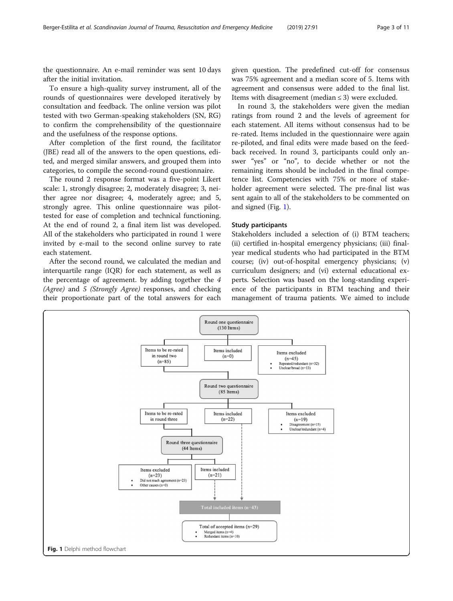the questionnaire. An e-mail reminder was sent 10 days after the initial invitation.

To ensure a high-quality survey instrument, all of the rounds of questionnaires were developed iteratively by consultation and feedback. The online version was pilot tested with two German-speaking stakeholders (SN, RG) to confirm the comprehensibility of the questionnaire and the usefulness of the response options.

After completion of the first round, the facilitator (JBE) read all of the answers to the open questions, edited, and merged similar answers, and grouped them into categories, to compile the second-round questionnaire.

The round 2 response format was a five-point Likert scale: 1, strongly disagree; 2, moderately disagree; 3, neither agree nor disagree; 4, moderately agree; and 5, strongly agree. This online questionnaire was pilottested for ease of completion and technical functioning. At the end of round 2, a final item list was developed. All of the stakeholders who participated in round 1 were invited by e-mail to the second online survey to rate each statement.

After the second round, we calculated the median and interquartile range (IQR) for each statement, as well as the percentage of agreement. by adding together the 4 (Agree) and 5 (Strongly Agree) responses, and checking their proportionate part of the total answers for each given question. The predefined cut-off for consensus was 75% agreement and a median score of 5. Items with agreement and consensus were added to the final list. Items with disagreement (median ≤ 3) were excluded.

In round 3, the stakeholders were given the median ratings from round 2 and the levels of agreement for each statement. All items without consensus had to be re-rated. Items included in the questionnaire were again re-piloted, and final edits were made based on the feedback received. In round 3, participants could only answer "yes" or "no", to decide whether or not the remaining items should be included in the final competence list. Competencies with 75% or more of stakeholder agreement were selected. The pre-final list was sent again to all of the stakeholders to be commented on and signed (Fig. 1).

#### Study participants

Stakeholders included a selection of (i) BTM teachers; (ii) certified in-hospital emergency physicians; (iii) finalyear medical students who had participated in the BTM course; (iv) out-of-hospital emergency physicians; (v) curriculum designers; and (vi) external educational experts. Selection was based on the long-standing experience of the participants in BTM teaching and their management of trauma patients. We aimed to include

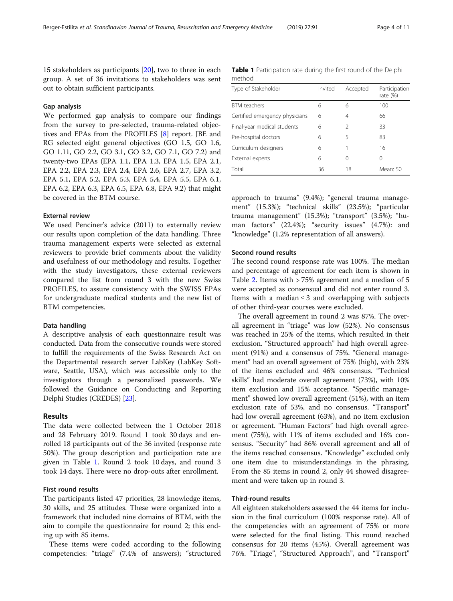15 stakeholders as participants [[20\]](#page-9-0), two to three in each group. A set of 36 invitations to stakeholders was sent out to obtain sufficient participants.

# Gap analysis

We performed gap analysis to compare our findings from the survey to pre-selected, trauma-related objectives and EPAs from the PROFILES [\[8](#page-9-0)] report. JBE and RG selected eight general objectives (GO 1.5, GO 1.6, GO 1.11, GO 2.2, GO 3.1, GO 3.2, GO 7.1, GO 7.2) and twenty-two EPAs (EPA 1.1, EPA 1.3, EPA 1.5, EPA 2.1, EPA 2.2, EPA 2.3, EPA 2.4, EPA 2.6, EPA 2.7, EPA 3.2, EPA 5.1, EPA 5.2, EPA 5.3, EPA 5,4, EPA 5.5, EPA 6.1, EPA 6.2, EPA 6.3, EPA 6.5, EPA 6.8, EPA 9.2) that might be covered in the BTM course.

### External review

We used Penciner's advice (2011) to externally review our results upon completion of the data handling. Three trauma management experts were selected as external reviewers to provide brief comments about the validity and usefulness of our methodology and results. Together with the study investigators, these external reviewers compared the list from round 3 with the new Swiss PROFILES, to assure consistency with the SWISS EPAs for undergraduate medical students and the new list of BTM competencies.

#### Data handling

A descriptive analysis of each questionnaire result was conducted. Data from the consecutive rounds were stored to fulfill the requirements of the Swiss Research Act on the Departmental research server LabKey (LabKey Software, Seattle, USA), which was accessible only to the investigators through a personalized passwords. We followed the Guidance on Conducting and Reporting Delphi Studies (CREDES) [[23](#page-9-0)].

#### Results

The data were collected between the 1 October 2018 and 28 February 2019. Round 1 took 30 days and enrolled 18 participants out of the 36 invited (response rate 50%). The group description and participation rate are given in Table 1. Round 2 took 10 days, and round 3 took 14 days. There were no drop-outs after enrollment.

# First round results

The participants listed 47 priorities, 28 knowledge items, 30 skills, and 25 attitudes. These were organized into a framework that included nine domains of BTM, with the aim to compile the questionnaire for round 2; this ending up with 85 items.

These items were coded according to the following competencies: "triage" (7.4% of answers); "structured

Table 1 Participation rate during the first round of the Delphi method

| Type of Stakeholder            | Invited | Accepted      | Participation<br>rate $(\%)$ |
|--------------------------------|---------|---------------|------------------------------|
| <b>BTM</b> teachers            | 6       | 6             | 100                          |
| Certified emergency physicians | 6       | 4             | 66                           |
| Final-year medical students    | 6       | $\mathcal{P}$ | 33                           |
| Pre-hospital doctors           | 6       | 5             | 83                           |
| Curriculum designers           | 6       |               | 16                           |
| External experts               | 6       | 0             | 0                            |
| Total                          | 36      | 18            | Mean: 50                     |

approach to trauma" (9.4%); "general trauma management" (15.3%); "technical skills" (23.5%); "particular trauma management" (15.3%); "transport" (3.5%); "human factors" (22.4%); "security issues" (4.7%): and "knowledge" (1.2% representation of all answers).

# Second round results

The second round response rate was 100%. The median and percentage of agreement for each item is shown in Table [2](#page-4-0). Items with  $> 75\%$  agreement and a median of 5 were accepted as consensual and did not enter round 3. Items with a median  $\leq$  3 and overlapping with subjects of other third-year courses were excluded.

The overall agreement in round 2 was 87%. The overall agreement in "triage" was low (52%). No consensus was reached in 25% of the items, which resulted in their exclusion. "Structured approach" had high overall agreement (91%) and a consensus of 75%. "General management" had an overall agreement of 75% (high), with 23% of the items excluded and 46% consensus. "Technical skills" had moderate overall agreement (73%), with 10% item exclusion and 15% acceptance. "Specific management" showed low overall agreement (51%), with an item exclusion rate of 53%, and no consensus. "Transport" had low overall agreement (63%), and no item exclusion or agreement. "Human Factors" had high overall agreement (75%), with 11% of items excluded and 16% consensus. "Security" had 86% overall agreement and all of the items reached consensus. "Knowledge" excluded only one item due to misunderstandings in the phrasing. From the 85 items in round 2, only 44 showed disagreement and were taken up in round 3.

#### Third-round results

All eighteen stakeholders assessed the 44 items for inclusion in the final curriculum (100% response rate). All of the competencies with an agreement of 75% or more were selected for the final listing. This round reached consensus for 20 items (45%). Overall agreement was 76%. "Triage", "Structured Approach", and "Transport"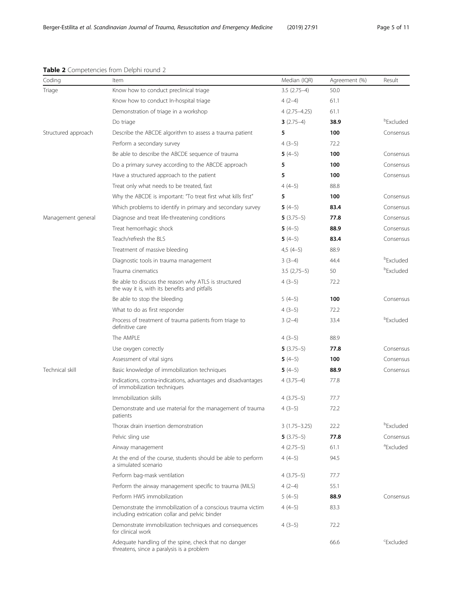| Coding              | Item                                                                                                          | Median (IQR)     | Agreement (%) | Result                         |
|---------------------|---------------------------------------------------------------------------------------------------------------|------------------|---------------|--------------------------------|
| Triage              | Know how to conduct preclinical triage                                                                        | $3.5(2.75-4)$    | 50.0          |                                |
|                     | Know how to conduct In-hospital triage                                                                        | $4(2-4)$         | 61.1          |                                |
|                     | Demonstration of triage in a workshop                                                                         | $4(2.75 - 4.25)$ | 61.1          |                                |
|                     | Do triage                                                                                                     | $3(2.75-4)$      | 38.9          | <b>b</b> Excluded              |
| Structured approach | Describe the ABCDE algorithm to assess a trauma patient                                                       | 5                | 100           | Consensus                      |
|                     | Perform a secondary survey                                                                                    | $4(3-5)$         | 72.2          |                                |
|                     | Be able to describe the ABCDE sequence of trauma                                                              | $5(4-5)$         | 100           | Consensus                      |
|                     | Do a primary survey according to the ABCDE approach                                                           | 5                | 100           | Consensus                      |
|                     | Have a structured approach to the patient                                                                     | 5                | 100           | Consensus                      |
|                     | Treat only what needs to be treated, fast                                                                     | $4(4-5)$         | 88.8          |                                |
|                     | Why the ABCDE is important: "To treat first what kills first"                                                 | 5                | 100           | Consensus                      |
|                     | Which problems to identify in primary and secondary survey                                                    | $5(4-5)$         | 83.4          | Consensus                      |
| Management general  | Diagnose and treat life-threatening conditions                                                                | $5(3.75-5)$      | 77.8          | Consensus                      |
|                     | Treat hemorrhagic shock                                                                                       | $5(4-5)$         | 88.9          | Consensus                      |
|                     | Teach/refresh the BLS                                                                                         | $5(4-5)$         | 83.4          | Consensus                      |
|                     | Treatment of massive bleeding                                                                                 | $4,5(4-5)$       | 88.9          |                                |
|                     | Diagnostic tools in trauma management                                                                         | $3(3-4)$         | 44.4          | <b>b</b> Excluded              |
|                     | Trauma cinematics                                                                                             | $3.5(2,75-5)$    | 50            | bExcluded                      |
|                     | Be able to discuss the reason why ATLS is structured<br>the way it is, with its benefits and pitfalls         | $4(3-5)$         | 72.2          |                                |
|                     | Be able to stop the bleeding                                                                                  | $5(4-5)$         | 100           | Consensus                      |
|                     | What to do as first responder                                                                                 | $4(3-5)$         | 72.2          |                                |
|                     | Process of treatment of trauma patients from triage to<br>definitive care                                     | $3(2-4)$         | 33.4          | <b>bExcluded</b>               |
|                     | The AMPLE                                                                                                     | $4(3-5)$         | 88.9          |                                |
|                     | Use oxygen correctly                                                                                          | $5(3.75-5)$      | 77.8          | Consensus                      |
|                     | Assessment of vital signs                                                                                     | $5(4-5)$         | 100           | Consensus                      |
| Technical skill     | Basic knowledge of immobilization techniques                                                                  | $5(4-5)$         | 88.9          | Consensus                      |
|                     | Indications, contra-indications, advantages and disadvantages<br>of immobilization techniques                 | $4(3.75-4)$      | 77.8          |                                |
|                     | Immobilization skills                                                                                         | $4(3.75-5)$      | 77.7          |                                |
|                     | Demonstrate and use material for the management of trauma<br>patients                                         | $4(3-5)$         | 72.2          |                                |
|                     | Thorax drain insertion demonstration                                                                          | $3(1.75 - 3.25)$ | 22.2          | <b><i><u>bExcluded</u></i></b> |
|                     | Pelvic sling use                                                                                              | $5(3.75-5)$      | 77.8          | Consensus                      |
|                     | Airway management                                                                                             | $4(2.75-5)$      | 61.1          | <sup>a</sup> Excluded          |
|                     | At the end of the course, students should be able to perform<br>a simulated scenario                          | $4(4-5)$         | 94.5          |                                |
|                     | Perform bag-mask ventilation                                                                                  | $4(3.75-5)$      | 77.7          |                                |
|                     | Perform the airway management specific to trauma (MILS)                                                       | $4(2-4)$         | 55.1          |                                |
|                     | Perform HWS immobilization                                                                                    | $5(4-5)$         | 88.9          | Consensus                      |
|                     | Demonstrate the immobilization of a conscious trauma victim<br>including extrication collar and pelvic binder | $4(4-5)$         | 83.3          |                                |
|                     | Demonstrate immobilization techniques and consequences<br>for clinical work                                   | $4(3-5)$         | 72.2          |                                |
|                     | Adequate handling of the spine, check that no danger<br>threatens, since a paralysis is a problem             |                  | 66.6          | <sup>c</sup> Excluded          |

# <span id="page-4-0"></span>Table 2 Competencies from Delphi round 2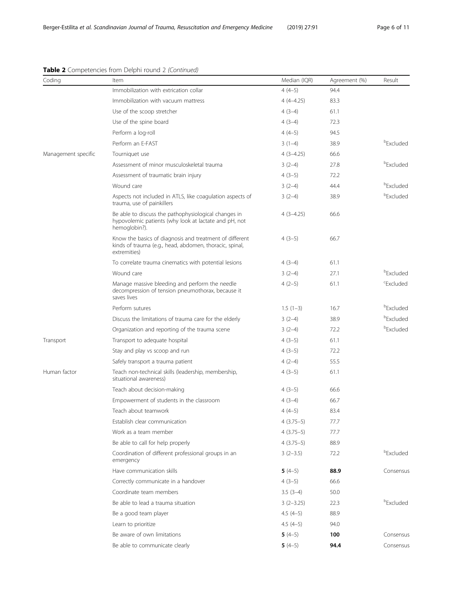# Table 2 Competencies from Delphi round 2 (Continued)

| Coding              | Item                                                                                                                               | Median (IQR) | Agreement (%) | Result                |
|---------------------|------------------------------------------------------------------------------------------------------------------------------------|--------------|---------------|-----------------------|
|                     | Immobilization with extrication collar                                                                                             | $4(4-5)$     | 94.4          |                       |
|                     | Immobilization with vacuum mattress                                                                                                | $4(4-4.25)$  | 83.3          |                       |
|                     | Use of the scoop stretcher                                                                                                         | $4(3-4)$     | 61.1          |                       |
|                     | Use of the spine board                                                                                                             | $4(3-4)$     | 72.3          |                       |
|                     | Perform a log-roll                                                                                                                 | $4(4-5)$     | 94.5          |                       |
|                     | Perform an E-FAST                                                                                                                  | $3(1-4)$     | 38.9          | bExcluded             |
| Management specific | Tourniquet use                                                                                                                     | $4(3-4.25)$  | 66.6          |                       |
|                     | Assessment of minor musculoskeletal trauma                                                                                         | $3(2-4)$     | 27.8          | bExcluded             |
|                     | Assessment of traumatic brain injury                                                                                               | $4(3-5)$     | 72.2          |                       |
|                     | Wound care                                                                                                                         | $3(2-4)$     | 44.4          | <b>bExcluded</b>      |
|                     | Aspects not included in ATLS, like coagulation aspects of<br>trauma, use of painkillers                                            | $3(2-4)$     | 38.9          | bExcluded             |
|                     | Be able to discuss the pathophysiological changes in<br>hypovolemic patients (why look at lactate and pH, not<br>hemoglobin?).     | $4(3-4.25)$  | 66.6          |                       |
|                     | Know the basics of diagnosis and treatment of different<br>kinds of trauma (e.g., head, abdomen, thoracic, spinal,<br>extremities) | $4(3-5)$     | 66.7          |                       |
|                     | To correlate trauma cinematics with potential lesions                                                                              | $4(3-4)$     | 61.1          |                       |
|                     | Wound care                                                                                                                         | $3(2-4)$     | 27.1          | bExcluded             |
|                     | Manage massive bleeding and perform the needle<br>decompression of tension pneumothorax, because it<br>saves lives                 | $4(2-5)$     | 61.1          | <sup>c</sup> Excluded |
|                     | Perform sutures                                                                                                                    | $1.5(1-3)$   | 16.7          | <b>bExcluded</b>      |
|                     | Discuss the limitations of trauma care for the elderly                                                                             | $3(2-4)$     | 38.9          | bExcluded             |
|                     | Organization and reporting of the trauma scene                                                                                     | $3(2-4)$     | 72.2          | bExcluded             |
| Transport           | Transport to adequate hospital                                                                                                     | $4(3-5)$     | 61.1          |                       |
|                     | Stay and play vs scoop and run                                                                                                     | $4(3-5)$     | 72.2          |                       |
|                     | Safely transport a trauma patient                                                                                                  | $4(2-4)$     | 55.5          |                       |
| Human factor        | Teach non-technical skills (leadership, membership,<br>situational awareness)                                                      | $4(3-5)$     | 61.1          |                       |
|                     | Teach about decision-making                                                                                                        | $4(3-5)$     | 66.6          |                       |
|                     | Empowerment of students in the classroom                                                                                           | $4(3-4)$     | 66.7          |                       |
|                     | Teach about teamwork                                                                                                               | $4(4-5)$     | 83.4          |                       |
|                     | Establish clear communication                                                                                                      | $4(3.75-5)$  | 77.7          |                       |
|                     | Work as a team member                                                                                                              | $4(3.75-5)$  | 77.7          |                       |
|                     | Be able to call for help properly                                                                                                  | $4(3.75-5)$  | 88.9          |                       |
|                     | Coordination of different professional groups in an<br>emergency                                                                   | $3(2-3.5)$   | 72.2          | bExcluded             |
|                     | Have communication skills                                                                                                          | $5(4-5)$     | 88.9          | Consensus             |
|                     | Correctly communicate in a handover                                                                                                | $4(3-5)$     | 66.6          |                       |
|                     | Coordinate team members                                                                                                            | $3.5(3-4)$   | 50.0          |                       |
|                     | Be able to lead a trauma situation                                                                                                 | $3(2-3.25)$  | 22.3          | <b>bExcluded</b>      |
|                     | Be a good team player                                                                                                              | $4.5(4-5)$   | 88.9          |                       |
|                     | Learn to prioritize                                                                                                                | $4.5(4-5)$   | 94.0          |                       |
|                     | Be aware of own limitations                                                                                                        | $5(4-5)$     | 100           | Consensus             |
|                     | Be able to communicate clearly                                                                                                     | $5(4-5)$     | 94.4          | Consensus             |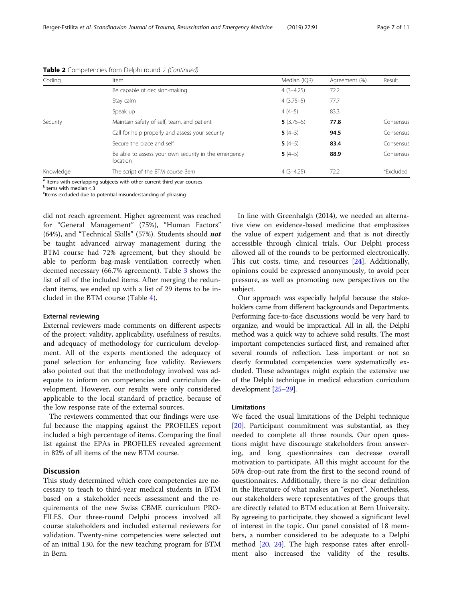| Coding    | Item                                                             | Median (IOR) | Agreement (%) | Result                |
|-----------|------------------------------------------------------------------|--------------|---------------|-----------------------|
|           | Be capable of decision-making                                    | $4(3-4.25)$  | 72.2          |                       |
|           | Stay calm                                                        | $4(3.75-5)$  | 77.7          |                       |
|           | Speak up                                                         | $4(4-5)$     | 83.3          |                       |
| Security  | Maintain safety of self, team, and patient                       | $5(3.75-5)$  | 77.8          | Consensus             |
|           | Call for help properly and assess your security                  | $5(4-5)$     | 94.5          | Consensus             |
|           | Secure the place and self                                        | $5(4-5)$     | 83.4          | Consensus             |
|           | Be able to assess your own security in the emergency<br>location | $5(4-5)$     | 88.9          | Consensus             |
| Knowledge | The script of the BTM course Bern                                | $4(3-4.25)$  | 72.2          | <sup>c</sup> Fxcluded |

Table 2 Competencies from Delphi round 2 (Continued)

<sup>a</sup> Items with overlapping subjects with other current third-year courses

**b** tems with median ≤ 3

<sup>c</sup>Items excluded due to potential misunderstanding of phrasing

did not reach agreement. Higher agreement was reached for "General Management" (75%), "Human Factors" (64%), and "Technical Skills" (57%). Students should not be taught advanced airway management during the BTM course had 72% agreement, but they should be able to perform bag-mask ventilation correctly when deemed necessary (66.7% agreement). Table [3](#page-7-0) shows the list of all of the included items. After merging the redundant items, we ended up with a list of 29 items to be included in the BTM course (Table [4\)](#page-8-0).

#### External reviewing

External reviewers made comments on different aspects of the project: validity, applicability, usefulness of results, and adequacy of methodology for curriculum development. All of the experts mentioned the adequacy of panel selection for enhancing face validity. Reviewers also pointed out that the methodology involved was adequate to inform on competencies and curriculum development. However, our results were only considered applicable to the local standard of practice, because of the low response rate of the external sources.

The reviewers commented that our findings were useful because the mapping against the PROFILES report included a high percentage of items. Comparing the final list against the EPAs in PROFILES revealed agreement in 82% of all items of the new BTM course.

# **Discussion**

This study determined which core competencies are necessary to teach to third-year medical students in BTM based on a stakeholder needs assessment and the requirements of the new Swiss CBME curriculum PRO-FILES. Our three-round Delphi process involved all course stakeholders and included external reviewers for validation. Twenty-nine competencies were selected out of an initial 130, for the new teaching program for BTM in Bern.

In line with Greenhalgh (2014), we needed an alternative view on evidence-based medicine that emphasizes the value of expert judgement and that is not directly accessible through clinical trials. Our Delphi process allowed all of the rounds to be performed electronically. This cut costs, time, and resources [\[24\]](#page-10-0). Additionally, opinions could be expressed anonymously, to avoid peer pressure, as well as promoting new perspectives on the subject.

Our approach was especially helpful because the stakeholders came from different backgrounds and Departments. Performing face-to-face discussions would be very hard to organize, and would be impractical. All in all, the Delphi method was a quick way to achieve solid results. The most important competencies surfaced first, and remained after several rounds of reflection. Less important or not so clearly formulated competencies were systematically excluded. These advantages might explain the extensive use of the Delphi technique in medical education curriculum development [[25](#page-10-0)–[29](#page-10-0)].

### Limitations

We faced the usual limitations of the Delphi technique [[20\]](#page-9-0). Participant commitment was substantial, as they needed to complete all three rounds. Our open questions might have discourage stakeholders from answering, and long questionnaires can decrease overall motivation to participate. All this might account for the 50% drop-out rate from the first to the second round of questionnaires. Additionally, there is no clear definition in the literature of what makes an "expert". Nonetheless, our stakeholders were representatives of the groups that are directly related to BTM education at Bern University. By agreeing to participate, they showed a significant level of interest in the topic. Our panel consisted of 18 members, a number considered to be adequate to a Delphi method [[20,](#page-9-0) [24](#page-10-0)]. The high response rates after enrollment also increased the validity of the results.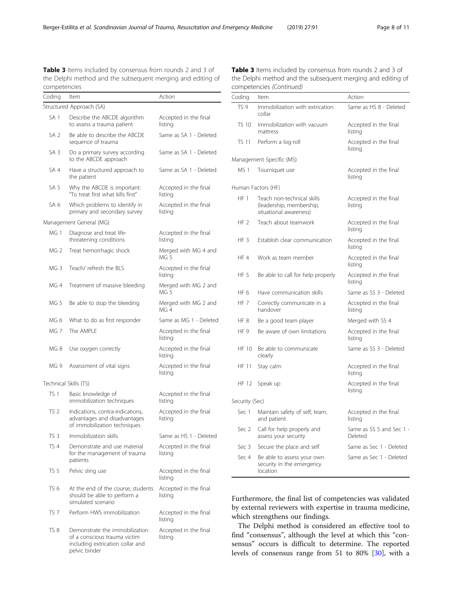<span id="page-7-0"></span>Table 3 Items included by consensus from rounds 2 and 3 of the Delphi method and the subsequent merging and editing of competencies

| Coding          | Item                                                                                               | Action                                  |
|-----------------|----------------------------------------------------------------------------------------------------|-----------------------------------------|
|                 | Structured Approach (SA)                                                                           |                                         |
| SA <sub>1</sub> | Describe the ABCDE algorithm<br>to assess a trauma patient                                         | Accepted in the final<br>listing        |
| SA <sub>2</sub> | Be able to describe the ABCDE<br>sequence of trauma                                                | Same as SA 1 - Deleted                  |
| SA <sub>3</sub> | Do a primary survey according<br>to the ABCDE approach                                             | Same as SA 1 - Deleted                  |
| SA <sub>4</sub> | Have a structured approach to<br>the patient                                                       | Same as SA 1 - Deleted                  |
| SA <sub>5</sub> | Why the ABCDE is important:<br>"To treat first what kills first"                                   | Accepted in the final<br>listing        |
| SA <sub>6</sub> | Which problems to identify in<br>primary and secondary survey                                      | Accepted in the final<br>listing        |
|                 | Management General (MG)                                                                            |                                         |
| MG 1            | Diagnose and treat life-<br>threatening conditions                                                 | Accepted in the final<br>listing        |
| MG <sub>2</sub> | Treat hemorrhagic shock                                                                            | Merged with MG 4 and<br>MG <sub>5</sub> |
| MG <sub>3</sub> | Teach/refresh the BLS                                                                              | Accepted in the final<br>listing        |
| MG <sub>4</sub> | Treatment of massive bleeding                                                                      | Merged with MG 2 and<br>MG <sub>5</sub> |
| MG 5            | Be able to stop the bleeding                                                                       | Merged with MG 2 and<br>MG <sub>4</sub> |
| MG 6            | What to do as first responder                                                                      | Same as MG 1 - Deleted                  |
| MG <sub>7</sub> | The AMPLE                                                                                          | Accepted in the final<br>listing        |
| MG 8            | Use oxygen correctly                                                                               | Accepted in the final<br>listing        |
| MG 9            | Assessment of vital signs                                                                          | Accepted in the final<br>listing        |
|                 | Technical Skills (TS)                                                                              |                                         |
| TS <sub>1</sub> | Basic knowledge of<br>immobilization techniques                                                    | Accepted in the final<br>listing        |
| TS <sub>2</sub> | Indications, contra-indications,<br>advantages and disadvantages<br>of immobilization techniques   | Accepted in the final<br>listing        |
| TS <sub>3</sub> | Immobilization skills                                                                              | Same as HS 1 - Deleted                  |
| <b>TS4</b>      | Demonstrate and use material<br>for the management of trauma<br>patients                           | Accepted in the final<br>listing        |
| TS 5            | Pelvic sling use                                                                                   | Accepted in the final<br>listing        |
| TS 6            | At the end of the course, students<br>should be able to perform a<br>simulated scenario            | Accepted in the final<br>listing        |
| <b>TS 7</b>     | Perform HWS immobilization                                                                         | Accepted in the final<br>listing        |
| TS 8            | Demonstrate the immobilization<br>of a conscious trauma victim<br>including extrication collar and | Accepted in the final<br>listing        |

pelvic binder

Table 3 Items included by consensus from rounds 2 and 3 of the Delphi method and the subsequent merging and editing of competencies (Continued)

| Coding          | Item                                                                             | Action                              |
|-----------------|----------------------------------------------------------------------------------|-------------------------------------|
| TS <sub>9</sub> | Immobilization with extrication<br>collar                                        | Same as HS 8 - Deleted              |
| <b>TS 10</b>    | Immobilization with vacuum<br>mattress                                           | Accepted in the final<br>listing    |
| <b>TS 11</b>    | Perform a log-roll                                                               | Accepted in the final<br>listing    |
|                 | Management Specific (MS)                                                         |                                     |
| MS 1            | Tourniquet use                                                                   | Accepted in the final<br>listing    |
|                 | Human Factors (HF)                                                               |                                     |
| $HF_1$          | Teach non-technical skills<br>(leadership, membership,<br>situational awareness) | Accepted in the final<br>listing    |
| HF <sub>2</sub> | Teach about teamwork                                                             | Accepted in the final<br>listing    |
| HF <sub>3</sub> | Establish clear communication                                                    | Accepted in the final<br>listing    |
| HF 4            | Work as team member                                                              | Accepted in the final<br>listing    |
| HF <sub>5</sub> | Be able to call for help properly                                                | Accepted in the final<br>listing    |
| HF <sub>6</sub> | Have communication skills                                                        | Same as SS 3 - Deleted              |
| HF 7            | Correctly communicate in a<br>handover                                           | Accepted in the final<br>listing    |
| HF 8            | Be a good team player                                                            | Merged with SS 4                    |
| HF 9            | Be aware of own limitations                                                      | Accepted in the final<br>listing    |
| <b>HF 10</b>    | Be able to communicate<br>clearly                                                | Same as SS 3 - Deleted              |
| <b>HF 11</b>    | Stay calm                                                                        | Accepted in the final<br>listing    |
| <b>HF 12</b>    | Speak up                                                                         | Accepted in the final<br>listing    |
| Security (Sec)  |                                                                                  |                                     |
| Sec 1           | Maintain safety of self, team,<br>and patient                                    | Accepted in the final<br>listing    |
| Sec 2           | Call for help properly and<br>assess your security                               | Same as SS 5 and Sec 1 -<br>Deleted |
| Sec 3           | Secure the place and self                                                        | Same as Sec 1 - Deleted             |
| Sec 4           | Be able to assess your own<br>security in the emergency<br>location              | Same as Sec 1 - Deleted             |

Furthermore, the final list of competencies was validated by external reviewers with expertise in trauma medicine, which strengthens our findings.

The Delphi method is considered an effective tool to find "consensus", although the level at which this "consensus" occurs is difficult to determine. The reported levels of consensus range from 51 to 80% [\[30](#page-10-0)], with a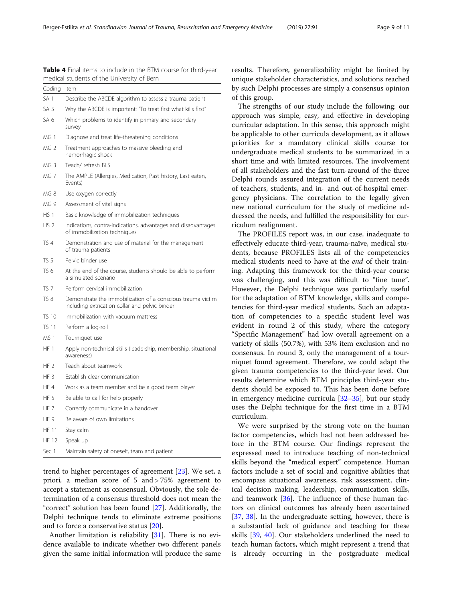| Coding          | Item                                                                                                          |
|-----------------|---------------------------------------------------------------------------------------------------------------|
| SA <sub>1</sub> | Describe the ABCDE algorithm to assess a trauma patient                                                       |
| SA <sub>5</sub> | Why the ABCDE is important: "To treat first what kills first"                                                 |
| SA <sub>6</sub> | Which problems to identify in primary and secondary<br>survey                                                 |
| MG 1            | Diagnose and treat life-threatening conditions                                                                |
| MG 2            | Treatment approaches to massive bleeding and<br>hemorrhagic shock                                             |
| MG 3            | Teach/refresh BLS                                                                                             |
| MG <sub>7</sub> | The AMPLE (Allergies, Medication, Past history, Last eaten,<br>Events)                                        |
| MG 8            | Use oxygen correctly                                                                                          |
| MG 9            | Assessment of vital signs                                                                                     |
| HS <sub>1</sub> | Basic knowledge of immobilization techniques                                                                  |
| HS <sub>2</sub> | Indications, contra-indications, advantages and disadvantages<br>of immobilization techniques                 |
| TS <sub>4</sub> | Demonstration and use of material for the management<br>of trauma patients                                    |
| TS <sub>5</sub> | Pelvic binder use                                                                                             |
| TS <sub>6</sub> | At the end of the course, students should be able to perform<br>a simulated scenario                          |
| TS <sub>7</sub> | Perform cervical immobilization                                                                               |
| <b>TS 8</b>     | Demonstrate the immobilization of a conscious trauma victim<br>including extrication collar and pelvic binder |
| <b>TS 10</b>    | Immobilization with vacuum mattress                                                                           |
| <b>TS 11</b>    | Perform a log-roll                                                                                            |
| MS <sub>1</sub> | Tourniquet use                                                                                                |
| HF <sub>1</sub> | Apply non-technical skills (leadership, membership, situational<br>awareness)                                 |
| HF <sub>2</sub> | Teach about teamwork                                                                                          |
| HF <sub>3</sub> | Establish clear communication                                                                                 |
| HF4             | Work as a team member and be a good team player                                                               |
| HF <sub>5</sub> | Be able to call for help properly                                                                             |
| HF 7            | Correctly communicate in a handover                                                                           |
| HF 9            | Be aware of own limitations                                                                                   |
| <b>HF 11</b>    | Stay calm                                                                                                     |
| <b>HF 12</b>    | Speak up                                                                                                      |
| Sec 1           | Maintain safety of oneself, team and patient                                                                  |

<span id="page-8-0"></span>Table 4 Final items to include in the BTM course for third-year

trend to higher percentages of agreement [[23](#page-9-0)]. We set, a priori, a median score of 5 and > 75% agreement to accept a statement as consensual. Obviously, the sole determination of a consensus threshold does not mean the "correct" solution has been found [\[27](#page-10-0)]. Additionally, the Delphi technique tends to eliminate extreme positions and to force a conservative status [[20](#page-9-0)].

Another limitation is reliability [[31](#page-10-0)]. There is no evidence available to indicate whether two different panels given the same initial information will produce the same results. Therefore, generalizability might be limited by unique stakeholder characteristics, and solutions reached by such Delphi processes are simply a consensus opinion of this group.

The strengths of our study include the following: our approach was simple, easy, and effective in developing curricular adaptation. In this sense, this approach might be applicable to other curricula development, as it allows priorities for a mandatory clinical skills course for undergraduate medical students to be summarized in a short time and with limited resources. The involvement of all stakeholders and the fast turn-around of the three Delphi rounds assured integration of the current needs of teachers, students, and in- and out-of-hospital emergency physicians. The correlation to the legally given new national curriculum for the study of medicine addressed the needs, and fulfilled the responsibility for curriculum realignment.

The PROFILES report was, in our case, inadequate to effectively educate third-year, trauma-naïve, medical students, because PROFILES lists all of the competencies medical students need to have at the end of their training. Adapting this framework for the third-year course was challenging, and this was difficult to "fine tune". However, the Delphi technique was particularly useful for the adaptation of BTM knowledge, skills and competencies for third-year medical students. Such an adaptation of competencies to a specific student level was evident in round 2 of this study, where the category "Specific Management" had low overall agreement on a variety of skills (50.7%), with 53% item exclusion and no consensus. In round 3, only the management of a tourniquet found agreement. Therefore, we could adapt the given trauma competencies to the third-year level. Our results determine which BTM principles third-year students should be exposed to. This has been done before in emergency medicine curricula [\[32](#page-10-0)–[35](#page-10-0)], but our study uses the Delphi technique for the first time in a BTM curriculum.

We were surprised by the strong vote on the human factor competencies, which had not been addressed before in the BTM course. Our findings represent the expressed need to introduce teaching of non-technical skills beyond the "medical expert" competence. Human factors include a set of social and cognitive abilities that encompass situational awareness, risk assessment, clinical decision making, leadership, communication skills, and teamwork [[36\]](#page-10-0). The influence of these human factors on clinical outcomes has already been ascertained [[37,](#page-10-0) [38](#page-10-0)]. In the undergraduate setting, however, there is a substantial lack of guidance and teaching for these skills [[39,](#page-10-0) [40\]](#page-10-0). Our stakeholders underlined the need to teach human factors, which might represent a trend that is already occurring in the postgraduate medical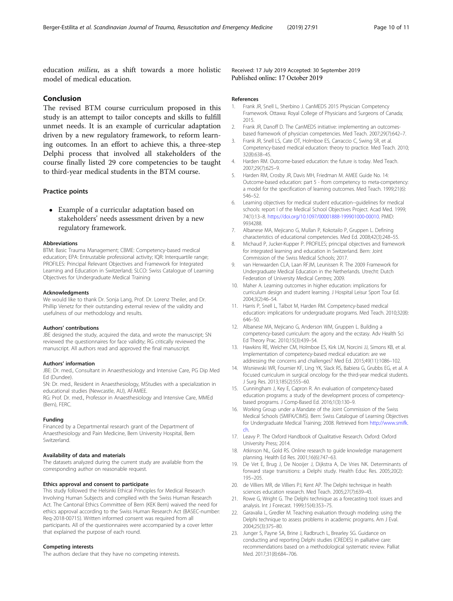<span id="page-9-0"></span>education milieu, as a shift towards a more holistic model of medical education.

# Conclusion

The revised BTM course curriculum proposed in this study is an attempt to tailor concepts and skills to fulfill unmet needs. It is an example of curricular adaptation driven by a new regulatory framework, to reform learning outcomes. In an effort to achieve this, a three-step Delphi process that involved all stakeholders of the course finally listed 29 core competencies to be taught to third-year medical students in the BTM course.

#### Practice points

 Example of a curricular adaptation based on stakeholders' needs assessment driven by a new regulatory framework.

#### Abbreviations

BTM: Basic Trauma Management; CBME: Competency-based medical education; EPA: Entrustable professional activity; IQR: Interquartile range; PROFILES: Principal Relevant Objectives and Framework for Integrated Learning and Education in Switzerland; SLCO: Swiss Catalogue of Learning Objectives for Undergraduate Medical Training

#### Acknowledgments

We would like to thank Dr. Sonja Lang, Prof. Dr. Lorenz Theiler, and Dr. Phillip Venetz for their outstanding external review of the validity and usefulness of our methodology and results.

#### Authors' contributions

JBE designed the study, acquired the data, and wrote the manuscript; SN reviewed the questionnaires for face validity; RG critically reviewed the manuscript. All authors read and approved the final manuscript.

#### Authors' information

JBE: Dr. med., Consultant in Anaesthesiology and Intensive Care, PG Dip Med Ed (Dundee).

SN: Dr. med., Resident in Anaesthesiology, MStudies with a specialization in educational studies (Newcastle, AU), AFAMEE.

RG: Prof. Dr. med., Professor in Anaesthesiology and Intensive Care, MMEd (Bern), FERC.

#### Funding

Financed by a Departmental research grant of the Department of Anaesthesiology and Pain Medicine, Bern University Hospital, Bern Switzerland.

#### Availability of data and materials

The datasets analyzed during the current study are available from the corresponding author on reasonable request.

#### Ethics approval and consent to participate

This study followed the Helsinki Ethical Principles for Medical Research Involving Human Subjects and complied with the Swiss Human Research Act. The Cantonal Ethics Committee of Bern (KEK Bern) waived the need for ethics approval according to the Swiss Human Research Act (BASEC-number: Req-2018-00715). Written informed consent was required from all participants. All of the questionnaires were accompanied by a cover letter that explained the purpose of each round.

#### Competing interests

The authors declare that they have no competing interests.

Received: 17 July 2019 Accepted: 30 September 2019 Published online: 17 October 2019

#### References

- 1. Frank JR, Snell L, Sherbino J. CanMEDS 2015 Physician Competency Framework. Ottawa: Royal College of Physicians and Surgeons of Canada; 2015.
- 2. Frank JR, Danoff D. The CanMEDS initiative: implementing an outcomesbased framework of physician competencies. Med Teach. 2007;29(7):642–7.
- 3. Frank JR, Snell LS, Cate OT, Holmboe ES, Carraccio C, Swing SR, et al. Competency-based medical education: theory to practice. Med Teach. 2010; 32(8):638–45.
- 4. Harden RM. Outcome-based education: the future is today. Med Teach. 2007;29(7):625–9.
- 5. Harden RM, Crosby JR, Davis MH, Friedman M. AMEE Guide No. 14: Outcome-based education: part 5 - from competency to meta-competency: a model for the specification of learning outcomes. Med Teach. 1999;21(6): 546–52.
- 6. Learning objectives for medical student education--guidelines for medical schools: report I of the Medical School Objectives Project. Acad Med. 1999; 74(1):13–8. <https://doi.org/10.1097/00001888-199901000-00010>. PMID: 9934288.
- 7. Albanese MA, Mejicano G, Mullan P, Kokotailo P, Gruppen L. Defining characteristics of educational competencies. Med Ed. 2008;42(3):248–55.
- 8. Michaud P, Jucker-Kupper P. PROFILES; principal objectives and framework for integrated learning and education in Switzerland. Bern: Joint Commission of the Swiss Medical Schools; 2017.
- 9. van Herwaarden CLA, Laan RFJM, Leunissen R. The 2009 Framework for Undergraduate Medical Education in the Netherlands. Utrecht: Dutch Federation of University Medical Centres; 2009.
- 10. Maher A. Learning outcomes in higher education: implications for curriculum design and student learning. J Hospital Leisur Sport Tour Ed. 2004;3(2):46–54.
- 11. Harris P, Snell L, Talbot M, Harden RM. Competency-based medical education: implications for undergraduate programs. Med Teach. 2010;32(8): 646–50.
- 12. Albanese MA, Mejicano G, Anderson WM, Gruppen L. Building a competency-based curriculum: the agony and the ecstasy. Adv Health Sci Ed Theory Prac. 2010;15(3):439–54.
- 13. Hawkins RE, Welcher CM, Holmboe ES, Kirk LM, Norcini JJ, Simons KB, et al. Implementation of competency-based medical education: are we addressing the concerns and challenges? Med Ed. 2015;49(11):1086–102.
- 14. Wisniewski WR, Fournier KF, Ling YK, Slack RS, Babiera G, Grubbs EG, et al. A focused curriculum in surgical oncology for the third-year medical students. J Surg Res. 2013;185(2):555–60.
- 15. Cunningham J, Key E, Capron R. An evaluation of competency-based education programs: a study of the development process of competencybased programs. J Comp-Based Ed. 2016;1(3):130–9.
- 16. Working Group under a Mandate of the Joint Commission of the Swiss Medical Schools (SMIFK/CIMS). Bern: Swiss Catalogue of Learning Objectives for Undergraduate Medical Training; 2008. Retrieved from [http://www.smifk.](http://www.smifk.ch) [ch.](http://www.smifk.ch)
- 17. Leavy P. The Oxford Handbook of Qualitative Research. Oxford: Oxford University Press; 2014.
- 18. Atkinson NL, Gold RS. Online research to guide knowledge management planning. Health Ed Res. 2001;16(6):747–63.
- 19. De Vet E, Brug J, De Nooijer J, Dijkstra A, De Vries NK. Determinants of forward stage transitions: a Delphi study. Health Educ Res. 2005;20(2): 195–205.
- 20. de Villiers MR, de Villiers PJ, Kent AP. The Delphi technique in health sciences education research. Med Teach. 2005;27(7):639–43.
- 21. Rowe G, Wright G. The Delphi technique as a forecasting tool: issues and analysis. Int J Forecast. 1999;15(4):353–75.
- 22. Garavalia L, Gredler M. Teaching evaluation through modeling: using the Delphi technique to assess problems in academic programs. Am J Eval. 2004;25(3):375–80.
- 23. Junger S, Payne SA, Brine J, Radbruch L, Brearley SG. Guidance on conducting and reporting Delphi studies (CREDES) in palliative care: recommendations based on a methodological systematic review. Palliat Med. 2017;31(8):684–706.